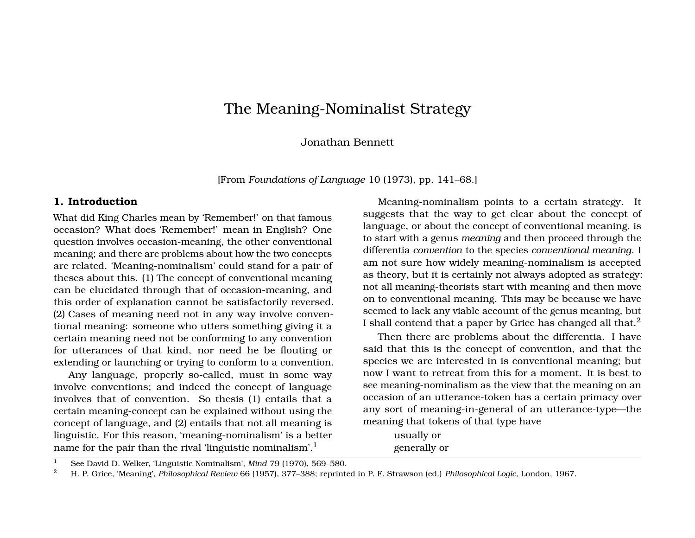# The Meaning-Nominalist Strategy

Jonathan Bennett

[From *Foundations of Language* 10 (1973), pp. 141–68.]

#### **1. Introduction**

What did King Charles mean by 'Remember!' on that famous occasion? What does 'Remember!' mean in English? One question involves occasion-meaning, the other conventional meaning; and there are problems about how the two concepts are related. 'Meaning-nominalism' could stand for a pair of theses about this. (1) The concept of conventional meaning can be elucidated through that of occasion-meaning, and this order of explanation cannot be satisfactorily reversed. (2) Cases of meaning need not in any way involve conventional meaning: someone who utters something giving it a certain meaning need not be conforming to any convention for utterances of that kind, nor need he be flouting or extending or launching or trying to conform to a convention.

Any language, properly so-called, must in some way involve conventions; and indeed the concept of language involves that of convention. So thesis (1) entails that a certain meaning-concept can be explained without using the concept of language, and (2) entails that not all meaning is linguistic. For this reason, 'meaning-nominalism' is a better name for the pair than the rival 'linguistic nominalism'.<sup>1</sup>

Meaning-nominalism points to a certain strategy. It suggests that the way to get clear about the concept of language, or about the concept of conventional meaning, is to start with a genus *meaning* and then proceed through the differentia *convention* to the species *conventional meaning*. I am not sure how widely meaning-nominalism is accepted as theory, but it is certainly not always adopted as strategy: not all meaning-theorists start with meaning and then move on to conventional meaning. This may be because we have seemed to lack any viable account of the genus meaning, but I shall contend that a paper by Grice has changed all that.<sup>2</sup>

Then there are problems about the differentia. I have said that this is the concept of convention, and that the species we are interested in is conventional meaning; but now I want to retreat from this for a moment. It is best to see meaning-nominalism as the view that the meaning on an occasion of an utterance-token has a certain primacy over any sort of meaning-in-general of an utterance-type—the meaning that tokens of that type have

usually or generally or

<sup>2</sup> H. P. Grice, 'Meaning', *Philosophical Review* 66 (1957), 377–388; reprinted in P. F. Strawson (ed.) *Philosophical Logic*, London, 1967.

<sup>&</sup>lt;sup>1</sup> See David D. Welker, 'Linguistic Nominalism', *Mind* 79 (1970), 569–580.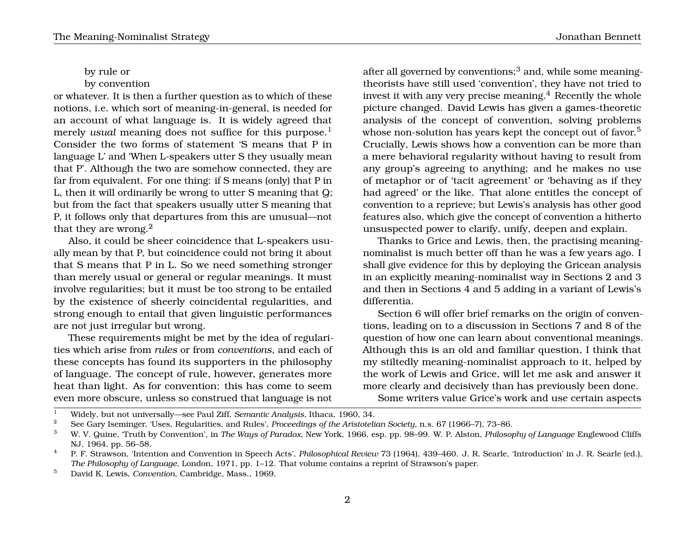#### by rule or

#### by convention

or whatever. It is then a further question as to which of these notions, i.e. which sort of meaning-in-general, is needed for an account of what language is. It is widely agreed that merely *usual* meaning does not suffice for this purpose.<sup>1</sup> Consider the two forms of statement 'S means that P in language L' and 'When L-speakers utter S they usually mean that P'. Although the two are somehow connected, they are far from equivalent. For one thing: if S means (only) that P in L, then it will ordinarily be wrong to utter S meaning that Q; but from the fact that speakers usually utter S meaning that P, it follows only that departures from this are unusual—not that they are wrong.<sup>2</sup>

Also, it could be sheer coincidence that L-speakers usually mean by that P, but coincidence could not bring it about that S means that P in L. So we need something stronger than merely usual or general or regular meanings. It must involve regularities; but it must be too strong to be entailed by the existence of sheerly coincidental regularities, and strong enough to entail that given linguistic performances are not just irregular but wrong.

These requirements might be met by the idea of regularities which arise from *rules* or from *conventions*, and each of these concepts has found its supporters in the philosophy of language. The concept of rule, however, generates more heat than light. As for convention: this has come to seem even more obscure, unless so construed that language is not

after all governed by conventions;<sup>3</sup> and, while some meaningtheorists have still used 'convention', they have not tried to invest it with any very precise meaning.<sup>4</sup> Recently the whole picture changed. David Lewis has given a games-theoretic analysis of the concept of convention, solving problems whose non-solution has years kept the concept out of favor.<sup>5</sup> Crucially, Lewis shows how a convention can be more than a mere behavioral regularity without having to result from any group's agreeing to anything; and he makes no use of metaphor or of 'tacit agreement' or 'behaving as if they had agreed' or the like. That alone entitles the concept of convention to a reprieve; but Lewis's analysis has other good features also, which give the concept of convention a hitherto unsuspected power to clarify, unify, deepen and explain.

Thanks to Grice and Lewis, then, the practising meaningnominalist is much better off than he was a few years ago. I shall give evidence for this by deploying the Gricean analysis in an explicitly meaning-nominalist way in Sections 2 and 3 and then in Sections 4 and 5 adding in a variant of Lewis's differentia.

Section 6 will offer brief remarks on the origin of conventions, leading on to a discussion in Sections 7 and 8 of the question of how one can learn about conventional meanings. Although this is an old and familiar question, I think that my stiltedly meaning-nominalist approach to it, helped by the work of Lewis and Grice, will let me ask and answer it more clearly and decisively than has previously been done.

Some writers value Grice's work and use certain aspects

<sup>1</sup> Widely, but not universally—see Paul Ziff, *Semantic Analysis*, Ithaca, 1960, 34.

<sup>2</sup> See Gary Iseminger, 'Uses, Regularities, and Rules', *Proceedings of the Aristotelian Society*, n.s. 67 (1966–7), 73–86.

<sup>3</sup> W. V. Quine, 'Truth by Convention', in *The Ways of Paradox*, New York, 1966, esp. pp. 98–99. W. P. Alston, *Philosophy of Language* Englewood Cliffs NJ, 1964, pp. 56–58.

<sup>4</sup> P. F. Strawson, 'Intention and Convention in Speech Acts', *Philosophical Review* 73 (1964), 439–460. J. R. Searle, 'Introduction' in J. R. Searle (ed.), *The Philosophy of Language*, London, 1971, pp. 1–12. That volume contains a reprint of Strawson's paper.

<sup>5</sup> David K. Lewis, *Convention*, Cambridge, Mass., 1969.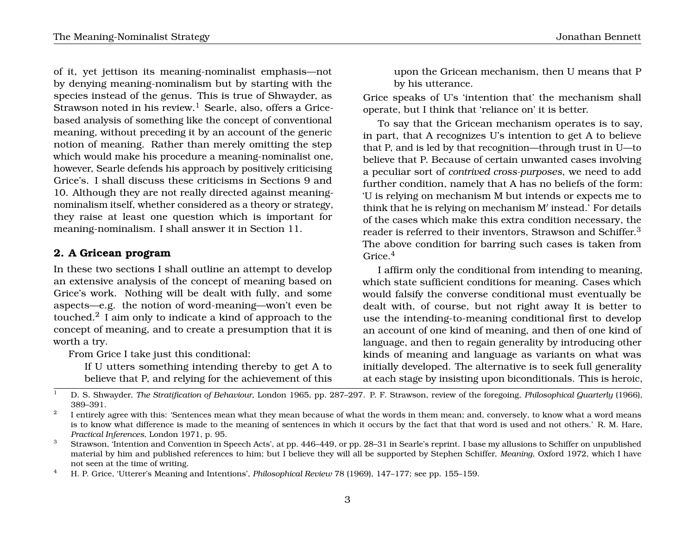of it, yet jettison its meaning-nominalist emphasis—not by denying meaning-nominalism but by starting with the species instead of the genus. This is true of Shwayder, as Strawson noted in his review.<sup>1</sup> Searle, also, offers a Gricebased analysis of something like the concept of conventional meaning, without preceding it by an account of the generic notion of meaning. Rather than merely omitting the step which would make his procedure a meaning-nominalist one, however, Searle defends his approach by positively criticising Grice's. I shall discuss these criticisms in Sections 9 and 10. Although they are not really directed against meaningnominalism itself, whether considered as a theory or strategy, they raise at least one question which is important for meaning-nominalism. I shall answer it in Section 11.

## **2. A Gricean program**

In these two sections I shall outline an attempt to develop an extensive analysis of the concept of meaning based on Grice's work. Nothing will be dealt with fully, and some aspects—e.g. the notion of word-meaning—won't even be touched. $^2$  I aim only to indicate a kind of approach to the concept of meaning, and to create a presumption that it is worth a try.

From Grice I take just this conditional:

If U utters something intending thereby to get A to believe that P, and relying for the achievement of this

Grice speaks of U's 'intention that' the mechanism shall operate, but I think that 'reliance on' it is better.

To say that the Gricean mechanism operates is to say, in part, that A recognizes U's intention to get A to believe that P, and is led by that recognition—through trust in U—to believe that P. Because of certain unwanted cases involving a peculiar sort of *contrived cross-purposes*, we need to add further condition, namely that A has no beliefs of the form: 'U is relying on mechanism M but intends or expects me to think that he is relying on mechanism M' instead.' For details of the cases which make this extra condition necessary, the reader is referred to their inventors, Strawson and Schiffer.<sup>3</sup> The above condition for barring such cases is taken from Grice.<sup>4</sup>

I affirm only the conditional from intending to meaning, which state sufficient conditions for meaning. Cases which would falsify the converse conditional must eventually be dealt with, of course, but not right away It is better to use the intending-to-meaning conditional first to develop an account of one kind of meaning, and then of one kind of language, and then to regain generality by introducing other kinds of meaning and language as variants on what was initially developed. The alternative is to seek full generality at each stage by insisting upon biconditionals. This is heroic,

<sup>1</sup> D. S. Shwayder, *The Stratification of Behaviour*, London 1965, pp. 287–297. P. F. Strawson, review of the foregoing, *Philosophical Quarterly* (1966), 389–391.

<sup>2</sup> I entirely agree with this: 'Sentences mean what they mean because of what the words in them mean; and, conversely, to know what a word means is to know what difference is made to the meaning of sentences in which it occurs by the fact that that word is used and not others.' R. M. Hare, *Practical Inferences*, London 1971, p. 95.

<sup>&</sup>lt;sup>3</sup> Strawson, 'Intention and Convention in Speech Acts', at pp. 446–449, or pp. 28–31 in Searle's reprint. I base my allusions to Schiffer on unpublished material by him and published references to him; but I believe they will all be supported by Stephen Schiffer, *Meaning*, Oxford 1972, which I have not seen at the time of writing.

<sup>4</sup> H. P. Grice, 'Utterer's Meaning and Intentions', *Philosophical Review* 78 (1969), 147–177; see pp. 155–159.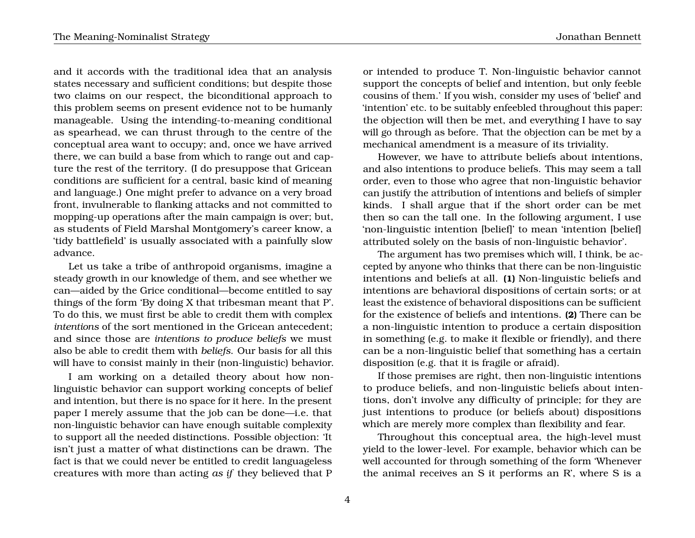and it accords with the traditional idea that an analysis states necessary and sufficient conditions; but despite those two claims on our respect, the biconditional approach to this problem seems on present evidence not to be humanly manageable. Using the intending-to-meaning conditional as spearhead, we can thrust through to the centre of the conceptual area want to occupy; and, once we have arrived there, we can build a base from which to range out and capture the rest of the territory. (I do presuppose that Gricean conditions are sufficient for a central, basic kind of meaning

and language.) One might prefer to advance on a very broad front, invulnerable to flanking attacks and not committed to mopping-up operations after the main campaign is over; but, as students of Field Marshal Montgomery's career know, a 'tidy battlefield' is usually associated with a painfully slow advance.

Let us take a tribe of anthropoid organisms, imagine a steady growth in our knowledge of them, and see whether we can—aided by the Grice conditional—become entitled to say things of the form 'By doing X that tribesman meant that P'. To do this, we must first be able to credit them with complex *intentions* of the sort mentioned in the Gricean antecedent; and since those are *intentions to produce beliefs* we must also be able to credit them with *beliefs*. Our basis for all this will have to consist mainly in their (non-linguistic) behavior.

I am working on a detailed theory about how nonlinguistic behavior can support working concepts of belief and intention, but there is no space for it here. In the present paper I merely assume that the job can be done—i.e. that non-linguistic behavior can have enough suitable complexity to support all the needed distinctions. Possible objection: 'It isn't just a matter of what distinctions can be drawn. The fact is that we could never be entitled to credit languageless creatures with more than acting *as if* they believed that P

or intended to produce T. Non-linguistic behavior cannot support the concepts of belief and intention, but only feeble cousins of them.' If you wish, consider my uses of 'belief' and 'intention' etc. to be suitably enfeebled throughout this paper: the objection will then be met, and everything I have to say will go through as before. That the objection can be met by a mechanical amendment is a measure of its triviality.

However, we have to attribute beliefs about intentions, and also intentions to produce beliefs. This may seem a tall order, even to those who agree that non-linguistic behavior can justify the attribution of intentions and beliefs of simpler kinds. I shall argue that if the short order can be met then so can the tall one. In the following argument, I use 'non-linguistic intention [belief]' to mean 'intention [belief] attributed solely on the basis of non-linguistic behavior'.

The argument has two premises which will, I think, be accepted by anyone who thinks that there can be non-linguistic intentions and beliefs at all. **(1)** Non-linguistic beliefs and intentions are behavioral dispositions of certain sorts; or at least the existence of behavioral dispositions can be sufficient for the existence of beliefs and intentions. **(2)** There can be a non-linguistic intention to produce a certain disposition in something (e.g. to make it flexible or friendly), and there can be a non-linguistic belief that something has a certain disposition (e.g. that it is fragile or afraid).

If those premises are right, then non-linguistic intentions to produce beliefs, and non-linguistic beliefs about intentions, don't involve any difficulty of principle; for they are just intentions to produce (or beliefs about) dispositions which are merely more complex than flexibility and fear.

Throughout this conceptual area, the high-level must yield to the lower-level. For example, behavior which can be well accounted for through something of the form 'Whenever the animal receives an S it performs an R', where S is a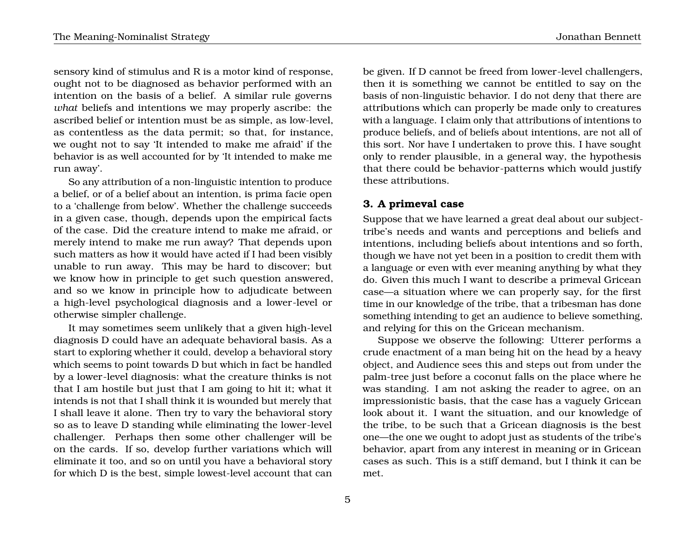sensory kind of stimulus and R is a motor kind of response, ought not to be diagnosed as behavior performed with an intention on the basis of a belief. A similar rule governs *what* beliefs and intentions we may properly ascribe: the ascribed belief or intention must be as simple, as low-level, as contentless as the data permit; so that, for instance, we ought not to say 'It intended to make me afraid' if the behavior is as well accounted for by 'It intended to make me run away'.

So any attribution of a non-linguistic intention to produce a belief, or of a belief about an intention, is prima facie open to a 'challenge from below'. Whether the challenge succeeds in a given case, though, depends upon the empirical facts of the case. Did the creature intend to make me afraid, or merely intend to make me run away? That depends upon such matters as how it would have acted if I had been visibly unable to run away. This may be hard to discover; but we know how in principle to get such question answered, and so we know in principle how to adjudicate between a high-level psychological diagnosis and a lower-level or otherwise simpler challenge.

It may sometimes seem unlikely that a given high-level diagnosis D could have an adequate behavioral basis. As a start to exploring whether it could, develop a behavioral story which seems to point towards D but which in fact be handled by a lower-level diagnosis: what the creature thinks is not that I am hostile but just that I am going to hit it; what it intends is not that I shall think it is wounded but merely that I shall leave it alone. Then try to vary the behavioral story so as to leave D standing while eliminating the lower-level challenger. Perhaps then some other challenger will be on the cards. If so, develop further variations which will eliminate it too, and so on until you have a behavioral story for which D is the best, simple lowest-level account that can be given. If D cannot be freed from lower-level challengers, then it is something we cannot be entitled to say on the basis of non-linguistic behavior. I do not deny that there are attributions which can properly be made only to creatures with a language. I claim only that attributions of intentions to produce beliefs, and of beliefs about intentions, are not all of this sort. Nor have I undertaken to prove this. I have sought only to render plausible, in a general way, the hypothesis that there could be behavior-patterns which would justify these attributions.

#### **3. A primeval case**

Suppose that we have learned a great deal about our subjecttribe's needs and wants and perceptions and beliefs and intentions, including beliefs about intentions and so forth, though we have not yet been in a position to credit them with a language or even with ever meaning anything by what they do. Given this much I want to describe a primeval Gricean case—a situation where we can properly say, for the first time in our knowledge of the tribe, that a tribesman has done something intending to get an audience to believe something, and relying for this on the Gricean mechanism.

Suppose we observe the following: Utterer performs a crude enactment of a man being hit on the head by a heavy object, and Audience sees this and steps out from under the palm-tree just before a coconut falls on the place where he was standing. I am not asking the reader to agree, on an impressionistic basis, that the case has a vaguely Gricean look about it. I want the situation, and our knowledge of the tribe, to be such that a Gricean diagnosis is the best one—the one we ought to adopt just as students of the tribe's behavior, apart from any interest in meaning or in Gricean cases as such. This is a stiff demand, but I think it can be met.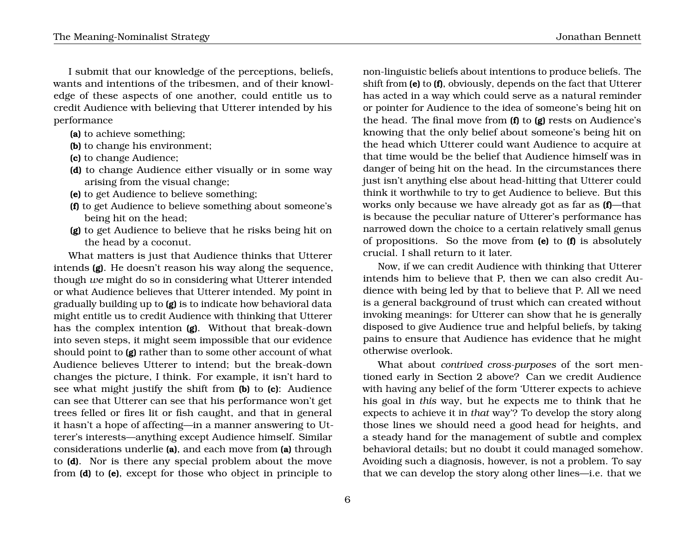I submit that our knowledge of the perceptions, beliefs, wants and intentions of the tribesmen, and of their knowledge of these aspects of one another, could entitle us to credit Audience with believing that Utterer intended by his performance

- **(a)** to achieve something;
- **(b)** to change his environment;
- **(c)** to change Audience;
- **(d)** to change Audience either visually or in some way arising from the visual change;
- **(e)** to get Audience to believe something;
- **(f)** to get Audience to believe something about someone's being hit on the head;
- **(g)** to get Audience to believe that he risks being hit on the head by a coconut.

What matters is just that Audience thinks that Utterer intends **(g)**. He doesn't reason his way along the sequence, though *we* might do so in considering what Utterer intended or what Audience believes that Utterer intended. My point in gradually building up to **(g)** is to indicate how behavioral data might entitle us to credit Audience with thinking that Utterer has the complex intention **(g)**. Without that break-down into seven steps, it might seem impossible that our evidence should point to **(g)** rather than to some other account of what Audience believes Utterer to intend; but the break-down changes the picture, I think. For example, it isn't hard to see what might justify the shift from **(b)** to **(c)**: Audience can see that Utterer can see that his performance won't get trees felled or fires lit or fish caught, and that in general it hasn't a hope of affecting—in a manner answering to Utterer's interests—anything except Audience himself. Similar considerations underlie **(a)**, and each move from **(a)** through to **(d)**. Nor is there any special problem about the move from **(d)** to **(e)**, except for those who object in principle to

non-linguistic beliefs about intentions to produce beliefs. The shift from **(e)** to **(f)**, obviously, depends on the fact that Utterer has acted in a way which could serve as a natural reminder or pointer for Audience to the idea of someone's being hit on the head. The final move from **(f)** to **(g)** rests on Audience's knowing that the only belief about someone's being hit on the head which Utterer could want Audience to acquire at that time would be the belief that Audience himself was in danger of being hit on the head. In the circumstances there just isn't anything else about head-hitting that Utterer could think it worthwhile to try to get Audience to believe. But this works only because we have already got as far as **(f)**—that is because the peculiar nature of Utterer's performance has narrowed down the choice to a certain relatively small genus of propositions. So the move from **(e)** to **(f)** is absolutely crucial. I shall return to it later.

Now, if we can credit Audience with thinking that Utterer intends him to believe that P, then we can also credit Audience with being led by that to believe that P. All we need is a general background of trust which can created without invoking meanings: for Utterer can show that he is generally disposed to give Audience true and helpful beliefs, by taking pains to ensure that Audience has evidence that he might otherwise overlook.

What about *contrived cross-purposes* of the sort mentioned early in Section 2 above? Can we credit Audience with having any belief of the form 'Utterer expects to achieve his goal in *this* way, but he expects me to think that he expects to achieve it in *that* way'? To develop the story along those lines we should need a good head for heights, and a steady hand for the management of subtle and complex behavioral details; but no doubt it could managed somehow. Avoiding such a diagnosis, however, is not a problem. To say that we can develop the story along other lines—i.e. that we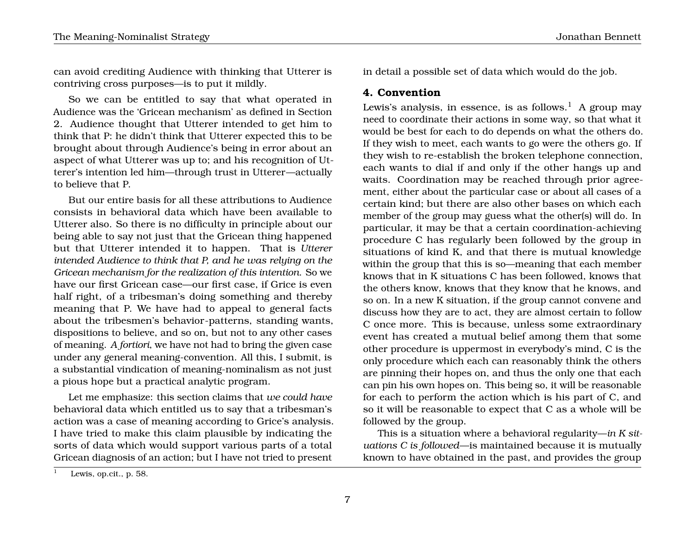can avoid crediting Audience with thinking that Utterer is contriving cross purposes—is to put it mildly.

So we can be entitled to say that what operated in Audience was the 'Gricean mechanism' as defined in Section 2. Audience thought that Utterer intended to get him to think that P: he didn't think that Utterer expected this to be brought about through Audience's being in error about an aspect of what Utterer was up to; and his recognition of Utterer's intention led him—through trust in Utterer—actually to believe that P.

But our entire basis for all these attributions to Audience consists in behavioral data which have been available to Utterer also. So there is no difficulty in principle about our being able to say not just that the Gricean thing happened but that Utterer intended it to happen. That is *Utterer intended Audience to think that P, and he was relying on the Gricean mechanism for the realization of this intention*. So we have our first Gricean case—our first case, if Grice is even half right, of a tribesman's doing something and thereby meaning that P. We have had to appeal to general facts about the tribesmen's behavior-patterns, standing wants, dispositions to believe, and so on, but not to any other cases of meaning. *A fortiori*, we have not had to bring the given case under any general meaning-convention. All this, I submit, is a substantial vindication of meaning-nominalism as not just a pious hope but a practical analytic program.

Let me emphasize: this section claims that *we could have* behavioral data which entitled us to say that a tribesman's action was a case of meaning according to Grice's analysis. I have tried to make this claim plausible by indicating the sorts of data which would support various parts of a total Gricean diagnosis of an action; but I have not tried to present in detail a possible set of data which would do the job.

# **4. Convention**

Lewis's analysis, in essence, is as follows.<sup>1</sup> A group may need to coordinate their actions in some way, so that what it would be best for each to do depends on what the others do. If they wish to meet, each wants to go were the others go. If they wish to re-establish the broken telephone connection, each wants to dial if and only if the other hangs up and waits. Coordination may be reached through prior agreement, either about the particular case or about all cases of a certain kind; but there are also other bases on which each member of the group may guess what the other(s) will do. In particular, it may be that a certain coordination-achieving procedure C has regularly been followed by the group in situations of kind K, and that there is mutual knowledge within the group that this is so—meaning that each member knows that in K situations C has been followed, knows that the others know, knows that they know that he knows, and so on. In a new K situation, if the group cannot convene and discuss how they are to act, they are almost certain to follow C once more. This is because, unless some extraordinary event has created a mutual belief among them that some other procedure is uppermost in everybody's mind, C is the only procedure which each can reasonably think the others are pinning their hopes on, and thus the only one that each can pin his own hopes on. This being so, it will be reasonable for each to perform the action which is his part of C, and so it will be reasonable to expect that C as a whole will be followed by the group.

This is a situation where a behavioral regularity—*in K situations C is followed*—is maintained because it is mutually known to have obtained in the past, and provides the group

Lewis, op.cit.,  $p. 58$ .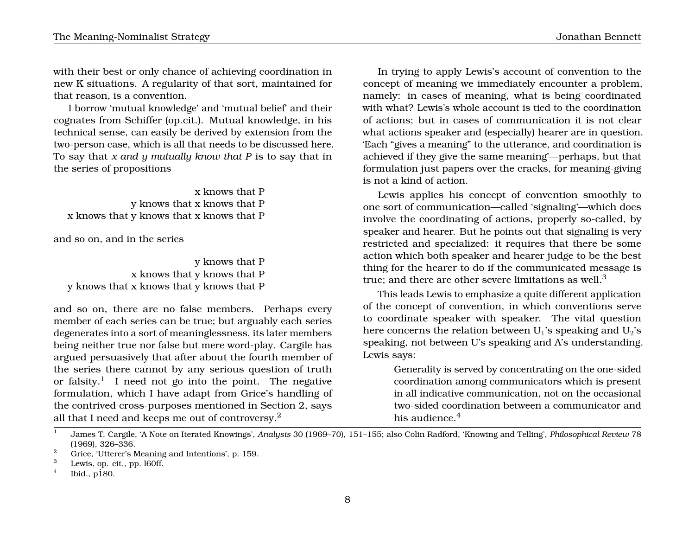with their best or only chance of achieving coordination in new K situations. A regularity of that sort, maintained for that reason, is a convention.

I borrow 'mutual knowledge' and 'mutual belief' and their cognates from Schiffer (op.cit.). Mutual knowledge, in his technical sense, can easily be derived by extension from the two-person case, which is all that needs to be discussed here. To say that *x and y mutually know that P* is to say that in the series of propositions

x knows that P y knows that x knows that P x knows that y knows that x knows that P

and so on, and in the series

y knows that P x knows that y knows that P y knows that x knows that y knows that P

and so on, there are no false members. Perhaps every member of each series can be true; but arguably each series degenerates into a sort of meaninglessness, its later members being neither true nor false but mere word-play. Cargile has argued persuasively that after about the fourth member of the series there cannot by any serious question of truth or falsity. $^1$  I need not go into the point. The negative formulation, which I have adapt from Grice's handling of the contrived cross-purposes mentioned in Section 2, says all that I need and keeps me out of controversy.<sup>2</sup>

In trying to apply Lewis's account of convention to the concept of meaning we immediately encounter a problem, namely: in cases of meaning, what is being coordinated with what? Lewis's whole account is tied to the coordination of actions; but in cases of communication it is not clear what actions speaker and (especially) hearer are in question. 'Each "gives a meaning" to the utterance, and coordination is achieved if they give the same meaning'—perhaps, but that formulation just papers over the cracks, for meaning-giving is not a kind of action.

Lewis applies his concept of convention smoothly to one sort of communication—called 'signaling'—which does involve the coordinating of actions, properly so-called, by speaker and hearer. But he points out that signaling is very restricted and specialized: it requires that there be some action which both speaker and hearer judge to be the best thing for the hearer to do if the communicated message is true; and there are other severe limitations as well.<sup>3</sup>

This leads Lewis to emphasize a quite different application of the concept of convention, in which conventions serve to coordinate speaker with speaker. The vital question here concerns the relation between  $U_1$ 's speaking and  $U_2$ 's speaking, not between U's speaking and A's understanding. Lewis says:

> Generality is served by concentrating on the one-sided coordination among communicators which is present in all indicative communication, not on the occasional two-sided coordination between a communicator and his audience. $4$

<sup>1</sup> James T. Cargile, 'A Note on Iterated Knowings', *Analysis* 30 (1969–70), 151–155; also Colin Radford, 'Knowing and Telling', *Philosophical Review* 78 (1969), 326–336.

<sup>&</sup>lt;sup>2</sup> Grice, 'Utterer's Meaning and Intentions', p. 159.

Lewis, op. cit., pp. 160ff.

<sup>4</sup> Ibid.,  $p180$ .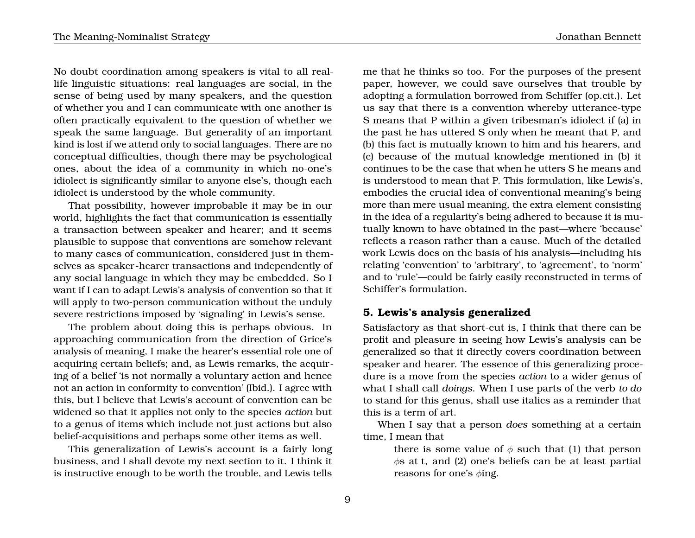No doubt coordination among speakers is vital to all reallife linguistic situations: real languages are social, in the sense of being used by many speakers, and the question of whether you and I can communicate with one another is often practically equivalent to the question of whether we speak the same language. But generality of an important kind is lost if we attend only to social languages. There are no conceptual difficulties, though there may be psychological ones, about the idea of a community in which no-one's idiolect is significantly similar to anyone else's, though each idiolect is understood by the whole community.

That possibility, however improbable it may be in our world, highlights the fact that communication is essentially a transaction between speaker and hearer; and it seems plausible to suppose that conventions are somehow relevant to many cases of communication, considered just in themselves as speaker-hearer transactions and independently of any social language in which they may be embedded. So I want if I can to adapt Lewis's analysis of convention so that it will apply to two-person communication without the unduly severe restrictions imposed by 'signaling' in Lewis's sense.

The problem about doing this is perhaps obvious. In approaching communication from the direction of Grice's analysis of meaning, I make the hearer's essential role one of acquiring certain beliefs; and, as Lewis remarks, the acquiring of a belief 'is not normally a voluntary action and hence not an action in conformity to convention' (Ibid.). I agree with this, but I believe that Lewis's account of convention can be widened so that it applies not only to the species *action* but to a genus of items which include not just actions but also belief-acquisitions and perhaps some other items as well.

This generalization of Lewis's account is a fairly long business, and I shall devote my next section to it. I think it is instructive enough to be worth the trouble, and Lewis tells

me that he thinks so too. For the purposes of the present paper, however, we could save ourselves that trouble by adopting a formulation borrowed from Schiffer (op.cit.). Let us say that there is a convention whereby utterance-type S means that P within a given tribesman's idiolect if (a) in the past he has uttered S only when he meant that P, and (b) this fact is mutually known to him and his hearers, and (c) because of the mutual knowledge mentioned in (b) it continues to be the case that when he utters S he means and is understood to mean that P. This formulation, like Lewis's, embodies the crucial idea of conventional meaning's being more than mere usual meaning, the extra element consisting in the idea of a regularity's being adhered to because it is mutually known to have obtained in the past—where 'because' reflects a reason rather than a cause. Much of the detailed work Lewis does on the basis of his analysis—including his relating 'convention' to 'arbitrary', to 'agreement', to 'norm' and to 'rule'—could be fairly easily reconstructed in terms of Schiffer's formulation.

## **5. Lewis's analysis generalized**

Satisfactory as that short-cut is, I think that there can be profit and pleasure in seeing how Lewis's analysis can be generalized so that it directly covers coordination between speaker and hearer. The essence of this generalizing procedure is a move from the species *action* to a wider genus of what I shall call *doings*. When I use parts of the verb *to do* to stand for this genus, shall use italics as a reminder that this is a term of art.

When I say that a person *does* something at a certain time, I mean that

> there is some value of  $\phi$  such that (1) that person  $\phi$ s at t, and (2) one's beliefs can be at least partial reasons for one's φing.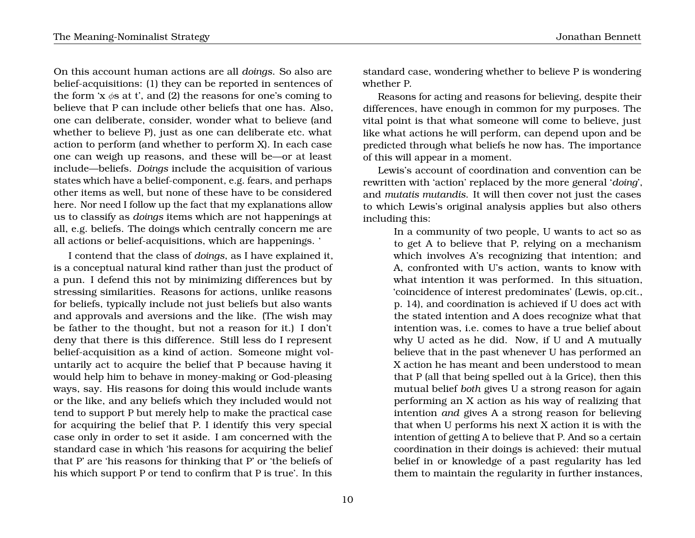On this account human actions are all *doings*. So also are belief-acquisitions: (1) they can be reported in sentences of the form 'x  $\phi$ s at t', and (2) the reasons for one's coming to believe that P can include other beliefs that one has. Also, one can deliberate, consider, wonder what to believe (and whether to believe P), just as one can deliberate etc. what action to perform (and whether to perform X). In each case one can weigh up reasons, and these will be—or at least include—beliefs. *Doings* include the acquisition of various states which have a belief-component, e.g. fears, and perhaps other items as well, but none of these have to be considered here. Nor need I follow up the fact that my explanations allow us to classify as *doings* items which are not happenings at all, e.g. beliefs. The doings which centrally concern me are all actions or belief-acquisitions, which are happenings. '

I contend that the class of *doings*, as I have explained it, is a conceptual natural kind rather than just the product of a pun. I defend this not by minimizing differences but by stressing similarities. Reasons for actions, unlike reasons for beliefs, typically include not just beliefs but also wants and approvals and aversions and the like. (The wish may be father to the thought, but not a reason for it.) I don't deny that there is this difference. Still less do I represent belief-acquisition as a kind of action. Someone might voluntarily act to acquire the belief that P because having it would help him to behave in money-making or God-pleasing ways, say. His reasons for doing this would include wants or the like, and any beliefs which they included would not tend to support P but merely help to make the practical case for acquiring the belief that P. I identify this very special case only in order to set it aside. I am concerned with the standard case in which 'his reasons for acquiring the belief that P' are 'his reasons for thinking that P' or 'the beliefs of his which support P or tend to confirm that P is true'. In this

standard case, wondering whether to believe P is wondering whether P.

Reasons for acting and reasons for believing, despite their differences, have enough in common for my purposes. The vital point is that what someone will come to believe, just like what actions he will perform, can depend upon and be predicted through what beliefs he now has. The importance of this will appear in a moment.

Lewis's account of coordination and convention can be rewritten with 'action' replaced by the more general '*doing*', and *mutatis mutandis*. It will then cover not just the cases to which Lewis's original analysis applies but also others including this:

> In a community of two people, U wants to act so as to get A to believe that P, relying on a mechanism which involves A's recognizing that intention; and A, confronted with U's action, wants to know with what intention it was performed. In this situation, 'coincidence of interest predominates' (Lewis, op.cit., p. 14), and coordination is achieved if U does act with the stated intention and A does recognize what that intention was, i.e. comes to have a true belief about why U acted as he did. Now, if U and A mutually believe that in the past whenever U has performed an X action he has meant and been understood to mean that P (all that being spelled out à la Grice), then this mutual belief *both* gives U a strong reason for again performing an X action as his way of realizing that intention *and* gives A a strong reason for believing that when U performs his next X action it is with the intention of getting A to believe that P. And so a certain coordination in their doings is achieved: their mutual belief in or knowledge of a past regularity has led them to maintain the regularity in further instances,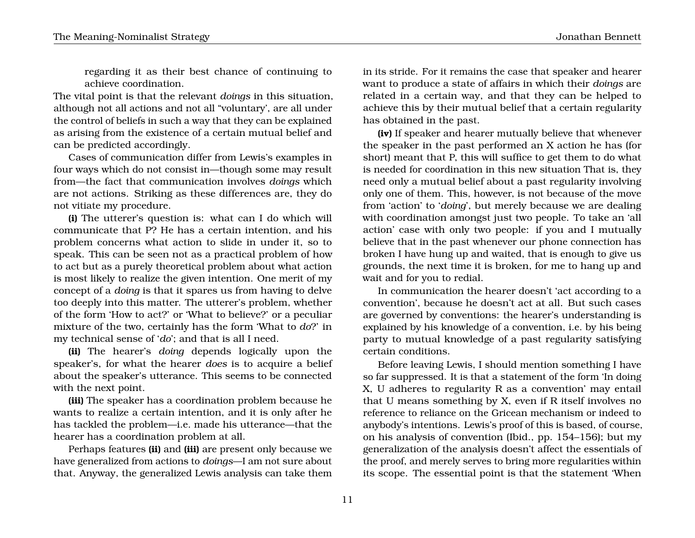regarding it as their best chance of continuing to achieve coordination.

The vital point is that the relevant *doings* in this situation, although not all actions and not all "voluntary', are all under the control of beliefs in such a way that they can be explained as arising from the existence of a certain mutual belief and can be predicted accordingly.

Cases of communication differ from Lewis's examples in four ways which do not consist in—though some may result from—the fact that communication involves *doings* which are not actions. Striking as these differences are, they do not vitiate my procedure.

**(i)** The utterer's question is: what can I do which will communicate that P? He has a certain intention, and his problem concerns what action to slide in under it, so to speak. This can be seen not as a practical problem of how to act but as a purely theoretical problem about what action is most likely to realize the given intention. One merit of my concept of a *doing* is that it spares us from having to delve too deeply into this matter. The utterer's problem, whether of the form 'How to act?' or 'What to believe?' or a peculiar mixture of the two, certainly has the form 'What to *do*?' in my technical sense of '*do*'; and that is all I need.

**(ii)** The hearer's *doing* depends logically upon the speaker's, for what the hearer *does* is to acquire a belief about the speaker's utterance. This seems to be connected with the next point.

**(iii)** The speaker has a coordination problem because he wants to realize a certain intention, and it is only after he has tackled the problem—i.e. made his utterance—that the hearer has a coordination problem at all.

Perhaps features **(ii)** and **(iii)** are present only because we have generalized from actions to *doings*—I am not sure about that. Anyway, the generalized Lewis analysis can take them

in its stride. For it remains the case that speaker and hearer want to produce a state of affairs in which their *doings* are related in a certain way, and that they can be helped to achieve this by their mutual belief that a certain regularity has obtained in the past.

**(iv)** If speaker and hearer mutually believe that whenever the speaker in the past performed an X action he has (for short) meant that P, this will suffice to get them to do what is needed for coordination in this new situation That is, they need only a mutual belief about a past regularity involving only one of them. This, however, is not because of the move from 'action' to '*doing*', but merely because we are dealing with coordination amongst just two people. To take an 'all action' case with only two people: if you and I mutually believe that in the past whenever our phone connection has broken I have hung up and waited, that is enough to give us grounds, the next time it is broken, for me to hang up and wait and for you to redial.

In communication the hearer doesn't 'act according to a convention', because he doesn't act at all. But such cases are governed by conventions: the hearer's understanding is explained by his knowledge of a convention, i.e. by his being party to mutual knowledge of a past regularity satisfying certain conditions.

Before leaving Lewis, I should mention something I have so far suppressed. It is that a statement of the form 'In doing X, U adheres to regularity R as a convention' may entail that U means something by X, even if R itself involves no reference to reliance on the Gricean mechanism or indeed to anybody's intentions. Lewis's proof of this is based, of course, on his analysis of convention (Ibid., pp. 154–156); but my generalization of the analysis doesn't affect the essentials of the proof, and merely serves to bring more regularities within its scope. The essential point is that the statement 'When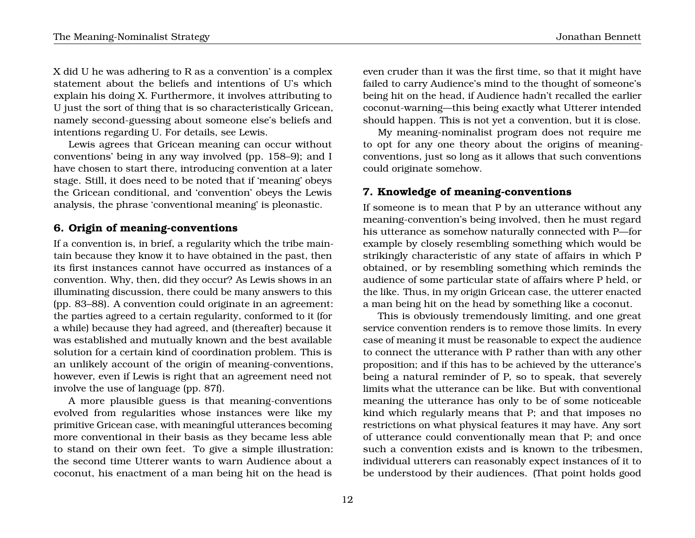X did U he was adhering to R as a convention' is a complex statement about the beliefs and intentions of U's which explain his doing X. Furthermore, it involves attributing to U just the sort of thing that is so characteristically Gricean, namely second-guessing about someone else's beliefs and intentions regarding U. For details, see Lewis.

Lewis agrees that Gricean meaning can occur without conventions' being in any way involved (pp. 158–9); and I have chosen to start there, introducing convention at a later stage. Still, it does need to be noted that if 'meaning' obeys the Gricean conditional, and 'convention' obeys the Lewis analysis, the phrase 'conventional meaning' is pleonastic.

## **6. Origin of meaning-conventions**

If a convention is, in brief, a regularity which the tribe maintain because they know it to have obtained in the past, then its first instances cannot have occurred as instances of a convention. Why, then, did they occur? As Lewis shows in an illuminating discussion, there could be many answers to this (pp. 83–88). A convention could originate in an agreement: the parties agreed to a certain regularity, conformed to it (for a while) because they had agreed, and (thereafter) because it was established and mutually known and the best available solution for a certain kind of coordination problem. This is an unlikely account of the origin of meaning-conventions, however, even if Lewis is right that an agreement need not involve the use of language (pp. 87f).

A more plausible guess is that meaning-conventions evolved from regularities whose instances were like my primitive Gricean case, with meaningful utterances becoming more conventional in their basis as they became less able to stand on their own feet. To give a simple illustration: the second time Utterer wants to warn Audience about a coconut, his enactment of a man being hit on the head is

even cruder than it was the first time, so that it might have failed to carry Audience's mind to the thought of someone's being hit on the head, if Audience hadn't recalled the earlier coconut-warning—this being exactly what Utterer intended should happen. This is not yet a convention, but it is close.

My meaning-nominalist program does not require me to opt for any one theory about the origins of meaningconventions, just so long as it allows that such conventions could originate somehow.

# **7. Knowledge of meaning-conventions**

If someone is to mean that P by an utterance without any meaning-convention's being involved, then he must regard his utterance as somehow naturally connected with P—for example by closely resembling something which would be strikingly characteristic of any state of affairs in which P obtained, or by resembling something which reminds the audience of some particular state of affairs where P held, or the like. Thus, in my origin Gricean case, the utterer enacted a man being hit on the head by something like a coconut.

This is obviously tremendously limiting, and one great service convention renders is to remove those limits. In every case of meaning it must be reasonable to expect the audience to connect the utterance with P rather than with any other proposition; and if this has to be achieved by the utterance's being a natural reminder of P, so to speak, that severely limits what the utterance can be like. But with conventional meaning the utterance has only to be of some noticeable kind which regularly means that P; and that imposes no restrictions on what physical features it may have. Any sort of utterance could conventionally mean that P; and once such a convention exists and is known to the tribesmen, individual utterers can reasonably expect instances of it to be understood by their audiences. (That point holds good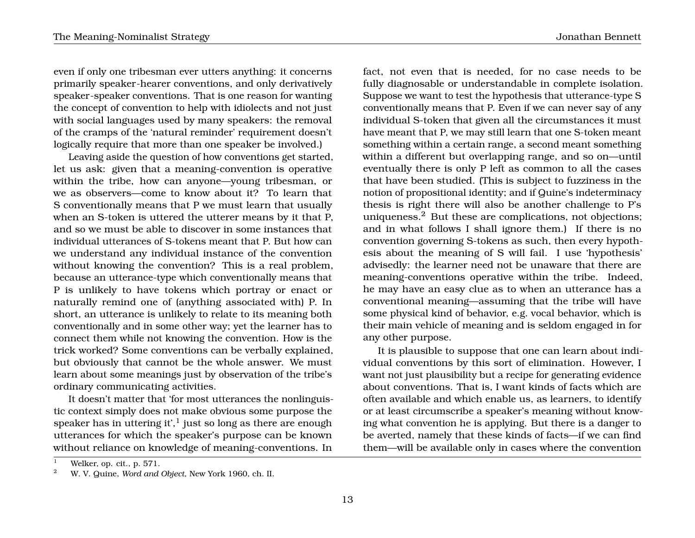even if only one tribesman ever utters anything: it concerns primarily speaker-hearer conventions, and only derivatively speaker-speaker conventions. That is one reason for wanting the concept of convention to help with idiolects and not just with social languages used by many speakers: the removal of the cramps of the 'natural reminder' requirement doesn't logically require that more than one speaker be involved.)

Leaving aside the question of how conventions get started, let us ask: given that a meaning-convention is operative within the tribe, how can anyone—young tribesman, or we as observers—come to know about it? To learn that S conventionally means that P we must learn that usually when an S-token is uttered the utterer means by it that P, and so we must be able to discover in some instances that individual utterances of S-tokens meant that P. But how can we understand any individual instance of the convention without knowing the convention? This is a real problem, because an utterance-type which conventionally means that P is unlikely to have tokens which portray or enact or naturally remind one of (anything associated with) P. In short, an utterance is unlikely to relate to its meaning both conventionally and in some other way; yet the learner has to connect them while not knowing the convention. How is the trick worked? Some conventions can be verbally explained, but obviously that cannot be the whole answer. We must learn about some meanings just by observation of the tribe's ordinary communicating activities.

It doesn't matter that 'for most utterances the nonlinguistic context simply does not make obvious some purpose the speaker has in uttering it', $^1$  just so long as there are enough utterances for which the speaker's purpose can be known without reliance on knowledge of meaning-conventions. In

fact, not even that is needed, for no case needs to be fully diagnosable or understandable in complete isolation. Suppose we want to test the hypothesis that utterance-type S conventionally means that P. Even if we can never say of any individual S-token that given all the circumstances it must have meant that P, we may still learn that one S-token meant something within a certain range, a second meant something within a different but overlapping range, and so on—until eventually there is only P left as common to all the cases that have been studied. (This is subject to fuzziness in the notion of propositional identity; and if Quine's indeterminacy thesis is right there will also be another challenge to P's uniqueness.<sup>2</sup> But these are complications, not objections; and in what follows I shall ignore them.) If there is no convention governing S-tokens as such, then every hypothesis about the meaning of S will fail. I use 'hypothesis' advisedly: the learner need not be unaware that there are meaning-conventions operative within the tribe. Indeed, he may have an easy clue as to when an utterance has a conventional meaning—assuming that the tribe will have some physical kind of behavior, e.g. vocal behavior, which is their main vehicle of meaning and is seldom engaged in for any other purpose.

It is plausible to suppose that one can learn about individual conventions by this sort of elimination. However, I want not just plausibility but a recipe for generating evidence about conventions. That is, I want kinds of facts which are often available and which enable us, as learners, to identify or at least circumscribe a speaker's meaning without knowing what convention he is applying. But there is a danger to be averted, namely that these kinds of facts—if we can find them—will be available only in cases where the convention

<sup>&</sup>lt;sup>1</sup> Welker, op. cit., p. 571.

<sup>2</sup> W. V. Quine, *Word and Object*, New York 1960, ch. II.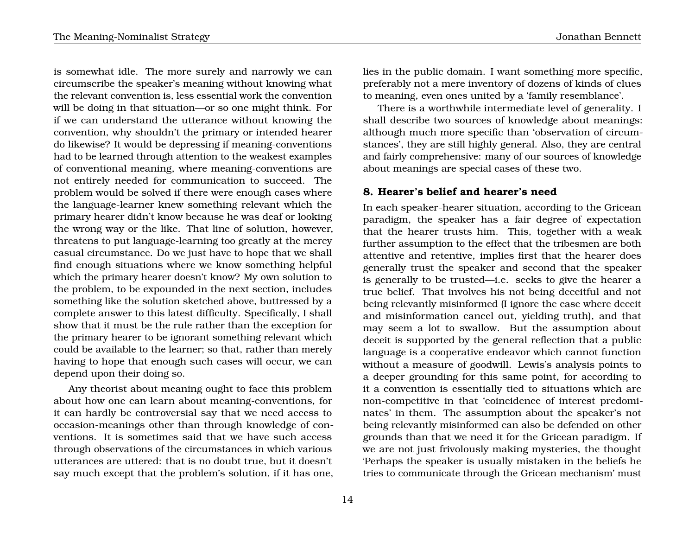is somewhat idle. The more surely and narrowly we can circumscribe the speaker's meaning without knowing what the relevant convention is, less essential work the convention will be doing in that situation—or so one might think. For if we can understand the utterance without knowing the convention, why shouldn't the primary or intended hearer do likewise? It would be depressing if meaning-conventions had to be learned through attention to the weakest examples of conventional meaning, where meaning-conventions are not entirely needed for communication to succeed. The problem would be solved if there were enough cases where the language-learner knew something relevant which the primary hearer didn't know because he was deaf or looking the wrong way or the like. That line of solution, however, threatens to put language-learning too greatly at the mercy casual circumstance. Do we just have to hope that we shall find enough situations where we know something helpful which the primary hearer doesn't know? My own solution to the problem, to be expounded in the next section, includes something like the solution sketched above, buttressed by a complete answer to this latest difficulty. Specifically, I shall show that it must be the rule rather than the exception for the primary hearer to be ignorant something relevant which could be available to the learner; so that, rather than merely having to hope that enough such cases will occur, we can depend upon their doing so.

Any theorist about meaning ought to face this problem about how one can learn about meaning-conventions, for it can hardly be controversial say that we need access to occasion-meanings other than through knowledge of conventions. It is sometimes said that we have such access through observations of the circumstances in which various utterances are uttered: that is no doubt true, but it doesn't say much except that the problem's solution, if it has one, lies in the public domain. I want something more specific, preferably not a mere inventory of dozens of kinds of clues to meaning, even ones united by a 'family resemblance'.

There is a worthwhile intermediate level of generality. I shall describe two sources of knowledge about meanings: although much more specific than 'observation of circumstances', they are still highly general. Also, they are central and fairly comprehensive: many of our sources of knowledge about meanings are special cases of these two.

## **8. Hearer's belief and hearer's need**

In each speaker-hearer situation, according to the Gricean paradigm, the speaker has a fair degree of expectation that the hearer trusts him. This, together with a weak further assumption to the effect that the tribesmen are both attentive and retentive, implies first that the hearer does generally trust the speaker and second that the speaker is generally to be trusted—i.e. seeks to give the hearer a true belief. That involves his not being deceitful and not being relevantly misinformed (I ignore the case where deceit and misinformation cancel out, yielding truth), and that may seem a lot to swallow. But the assumption about deceit is supported by the general reflection that a public language is a cooperative endeavor which cannot function without a measure of goodwill. Lewis's analysis points to a deeper grounding for this same point, for according to it a convention is essentially tied to situations which are non-competitive in that 'coincidence of interest predominates' in them. The assumption about the speaker's not being relevantly misinformed can also be defended on other grounds than that we need it for the Gricean paradigm. If we are not just frivolously making mysteries, the thought 'Perhaps the speaker is usually mistaken in the beliefs he tries to communicate through the Gricean mechanism' must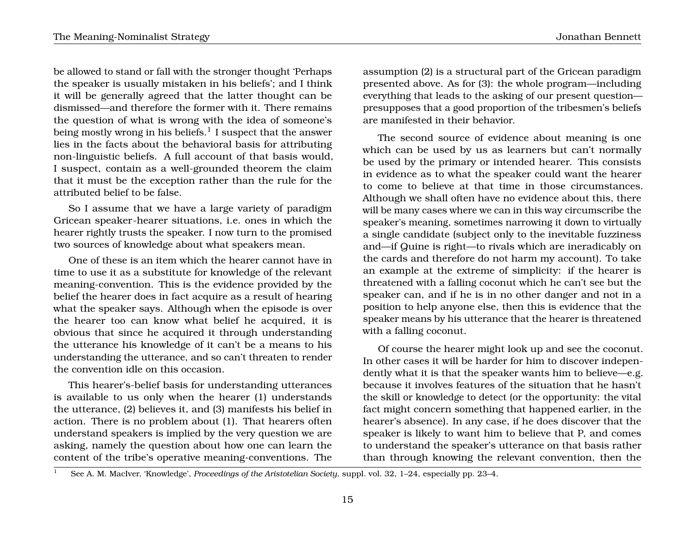be allowed to stand or fall with the stronger thought 'Perhaps the speaker is usually mistaken in his beliefs'; and I think it will be generally agreed that the latter thought can be dismissed—and therefore the former with it. There remains the question of what is wrong with the idea of someone's being mostly wrong in his beliefs. $^{\rm l}$  I suspect that the answer lies in the facts about the behavioral basis for attributing non-linguistic beliefs. A full account of that basis would, I suspect, contain as a well-grounded theorem the claim that it must be the exception rather than the rule for the attributed belief to be false.

So I assume that we have a large variety of paradigm Gricean speaker-hearer situations, i.e. ones in which the hearer rightly trusts the speaker. I now turn to the promised two sources of knowledge about what speakers mean.

One of these is an item which the hearer cannot have in time to use it as a substitute for knowledge of the relevant meaning-convention. This is the evidence provided by the belief the hearer does in fact acquire as a result of hearing what the speaker says. Although when the episode is over the hearer too can know what belief he acquired, it is obvious that since he acquired it through understanding the utterance his knowledge of it can't be a means to his understanding the utterance, and so can't threaten to render the convention idle on this occasion.

This hearer's-belief basis for understanding utterances is available to us only when the hearer (1) understands the utterance, (2) believes it, and (3) manifests his belief in action. There is no problem about (1). That hearers often understand speakers is implied by the very question we are asking, namely the question about how one can learn the content of the tribe's operative meaning-conventions. The

assumption (2) is a structural part of the Gricean paradigm presented above. As for (3): the whole program—including everything that leads to the asking of our present question presupposes that a good proportion of the tribesmen's beliefs are manifested in their behavior.

The second source of evidence about meaning is one which can be used by us as learners but can't normally be used by the primary or intended hearer. This consists in evidence as to what the speaker could want the hearer to come to believe at that time in those circumstances. Although we shall often have no evidence about this, there will be many cases where we can in this way circumscribe the speaker's meaning, sometimes narrowing it down to virtually a single candidate (subject only to the inevitable fuzziness and—if Quine is right—to rivals which are ineradicably on the cards and therefore do not harm my account). To take an example at the extreme of simplicity: if the hearer is threatened with a falling coconut which he can't see but the speaker can, and if he is in no other danger and not in a position to help anyone else, then this is evidence that the speaker means by his utterance that the hearer is threatened with a falling coconut.

Of course the hearer might look up and see the coconut. In other cases it will be harder for him to discover independently what it is that the speaker wants him to believe—e.g. because it involves features of the situation that he hasn't the skill or knowledge to detect (or the opportunity: the vital fact might concern something that happened earlier, in the hearer's absence). In any case, if he does discover that the speaker is likely to want him to believe that P, and comes to understand the speaker's utterance on that basis rather than through knowing the relevant convention, then the

<sup>1</sup> See A. M. MacIver, 'Knowledge', *Proceedings of the Aristotelian Society*, suppl. vol. 32, 1–24, especially pp. 23–4.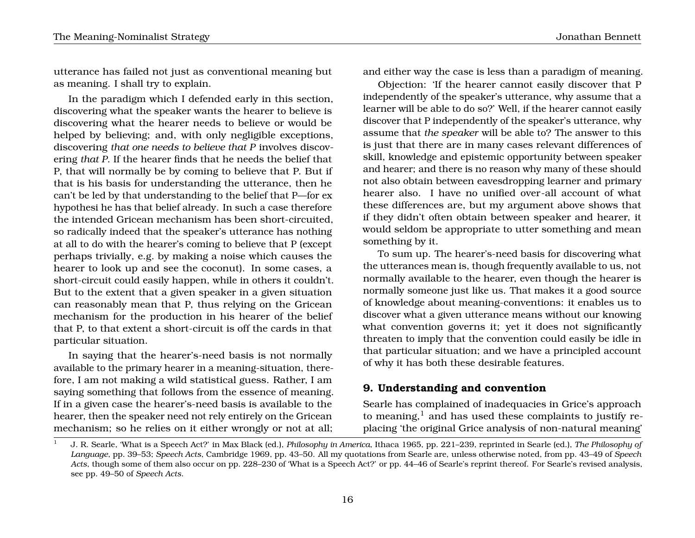utterance has failed not just as conventional meaning but as meaning. I shall try to explain.

In the paradigm which I defended early in this section, discovering what the speaker wants the hearer to believe is discovering what the hearer needs to believe or would be helped by believing; and, with only negligible exceptions, discovering *that one needs to believe that P* involves discovering *that P*. If the hearer finds that he needs the belief that P, that will normally be by coming to believe that P. But if that is his basis for understanding the utterance, then he can't be led by that understanding to the belief that P—for ex hypothesi he has that belief already. In such a case therefore the intended Gricean mechanism has been short-circuited, so radically indeed that the speaker's utterance has nothing at all to do with the hearer's coming to believe that P (except perhaps trivially, e.g. by making a noise which causes the hearer to look up and see the coconut). In some cases, a short-circuit could easily happen, while in others it couldn't. But to the extent that a given speaker in a given situation can reasonably mean that P, thus relying on the Gricean mechanism for the production in his hearer of the belief that P, to that extent a short-circuit is off the cards in that particular situation.

In saying that the hearer's-need basis is not normally available to the primary hearer in a meaning-situation, therefore, I am not making a wild statistical guess. Rather, I am saying something that follows from the essence of meaning. If in a given case the hearer's-need basis is available to the hearer, then the speaker need not rely entirely on the Gricean mechanism; so he relies on it either wrongly or not at all;

and either way the case is less than a paradigm of meaning.

Objection: 'If the hearer cannot easily discover that P independently of the speaker's utterance, why assume that a learner will be able to do so?' Well, if the hearer cannot easily discover that P independently of the speaker's utterance, why assume that *the speaker* will be able to? The answer to this is just that there are in many cases relevant differences of skill, knowledge and epistemic opportunity between speaker and hearer; and there is no reason why many of these should not also obtain between eavesdropping learner and primary hearer also. I have no unified over-all account of what these differences are, but my argument above shows that if they didn't often obtain between speaker and hearer, it would seldom be appropriate to utter something and mean something by it.

To sum up. The hearer's-need basis for discovering what the utterances mean is, though frequently available to us, not normally available to the hearer, even though the hearer is normally someone just like us. That makes it a good source of knowledge about meaning-conventions: it enables us to discover what a given utterance means without our knowing what convention governs it; yet it does not significantly threaten to imply that the convention could easily be idle in that particular situation; and we have a principled account of why it has both these desirable features.

#### **9. Understanding and convention**

Searle has complained of inadequacies in Grice's approach to meaning, $<sup>1</sup>$  and has used these complaints to justify re-</sup> placing 'the original Grice analysis of non-natural meaning'

<sup>1</sup> J. R. Searle, 'What is a Speech Act?' in Max Black (ed.), *Philosophy in America*, Ithaca 1965, pp. 221–239, reprinted in Searle (ed.), *The Philosophy of Language*, pp. 39–53; *Speech Acts*, Cambridge 1969, pp. 43–50. All my quotations from Searle are, unless otherwise noted, from pp. 43–49 of *Speech Acts*, though some of them also occur on pp. 228–230 of 'What is a Speech Act?' or pp. 44–46 of Searle's reprint thereof. For Searle's revised analysis, see pp. 49–50 of *Speech Acts*.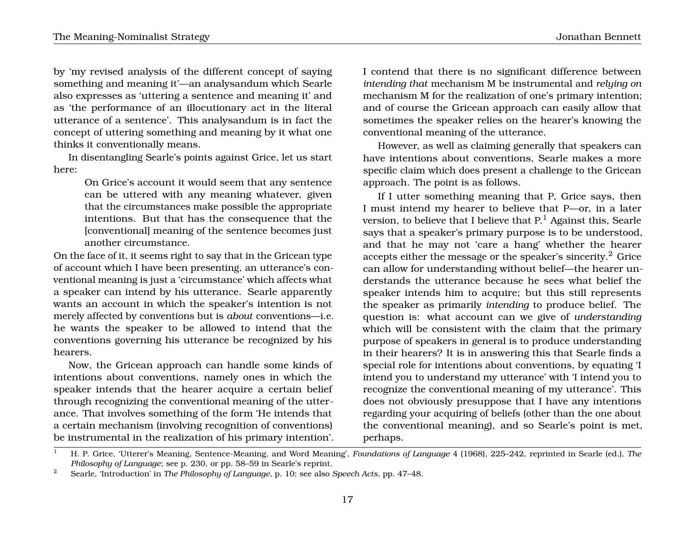by 'my revised analysis of the different concept of saying something and meaning it'—an analysandum which Searle also expresses as 'uttering a sentence and meaning it' and as 'the performance of an illocutionary act in the literal utterance of a sentence'. This analysandum is in fact the concept of uttering something and meaning by it what one thinks it conventionally means.

In disentangling Searle's points against Grice, let us start here:

> On Grice's account it would seem that any sentence can be uttered with any meaning whatever, given that the circumstances make possible the appropriate intentions. But that has the consequence that the [conventional] meaning of the sentence becomes just another circumstance.

On the face of it, it seems right to say that in the Gricean type of account which I have been presenting, an utterance's conventional meaning is just a 'circumstance' which affects what a speaker can intend by his utterance. Searle apparently wants an account in which the speaker's intention is not merely affected by conventions but is *about* conventions—i.e. he wants the speaker to be allowed to intend that the conventions governing his utterance be recognized by his hearers.

Now, the Gricean approach can handle some kinds of intentions about conventions, namely ones in which the speaker intends that the hearer acquire a certain belief through recognizing the conventional meaning of the utterance. That involves something of the form 'He intends that a certain mechanism (involving recognition of conventions) be instrumental in the realization of his primary intention'.

I contend that there is no significant difference between *intending that* mechanism M be instrumental and *relying on* mechanism M for the realization of one's primary intention; and of course the Gricean approach can easily allow that sometimes the speaker relies on the hearer's knowing the conventional meaning of the utterance.

However, as well as claiming generally that speakers can have intentions about conventions, Searle makes a more specific claim which does present a challenge to the Gricean approach. The point is as follows.

If I utter something meaning that P, Grice says, then I must intend my hearer to believe that P—or, in a later version, to believe that I believe that  $P<sup>1</sup>$  Against this, Searle says that a speaker's primary purpose is to be understood, and that he may not 'care a hang' whether the hearer accepts either the message or the speaker's sincerity.<sup>2</sup> Grice can allow for understanding without belief—the hearer understands the utterance because he sees what belief the speaker intends him to acquire; but this still represents the speaker as primarily *intending* to produce belief. The question is: what account can we give of *understanding* which will be consistent with the claim that the primary purpose of speakers in general is to produce understanding in their hearers? It is in answering this that Searle finds a special role for intentions about conventions, by equating 'I intend you to understand my utterance' with 'I intend you to recognize the conventional meaning of my utterance'. This does not obviously presuppose that I have any intentions regarding your acquiring of beliefs (other than the one about the conventional meaning), and so Searle's point is met, perhaps.

<sup>1</sup> H. P. Grice, 'Utterer's Meaning, Sentence-Meaning, and Word Meaning', *Foundations of Language* 4 (1968), 225–242, reprinted in Searle (ed.), *The Philosophy of Language*; see p. 230, or pp. 58–59 in Searle's reprint.

<sup>2</sup> Searle, 'Introduction' in *The Philosophy of Language*, p. 10; see also *Speech Acts*, pp. 47–48.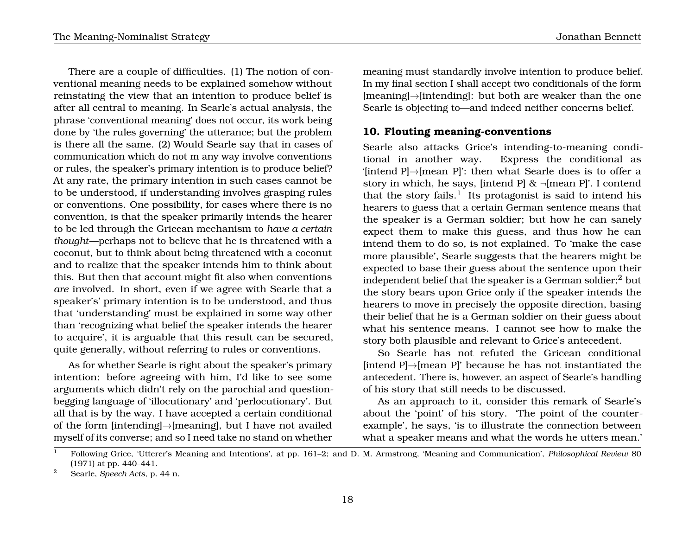There are a couple of difficulties. (1) The notion of conventional meaning needs to be explained somehow without reinstating the view that an intention to produce belief is after all central to meaning. In Searle's actual analysis, the phrase 'conventional meaning' does not occur, its work being done by 'the rules governing' the utterance; but the problem is there all the same. (2) Would Searle say that in cases of communication which do not m any way involve conventions or rules, the speaker's primary intention is to produce belief? At any rate, the primary intention in such cases cannot be to be understood, if understanding involves grasping rules or conventions. One possibility, for cases where there is no convention, is that the speaker primarily intends the hearer to be led through the Gricean mechanism to *have a certain thought*—perhaps not to believe that he is threatened with a coconut, but to think about being threatened with a coconut and to realize that the speaker intends him to think about this. But then that account might fit also when conventions *are* involved. In short, even if we agree with Searle that a speaker's' primary intention is to be understood, and thus that 'understanding' must be explained in some way other than 'recognizing what belief the speaker intends the hearer to acquire', it is arguable that this result can be secured, quite generally, without referring to rules or conventions.

As for whether Searle is right about the speaker's primary intention: before agreeing with him, I'd like to see some arguments which didn't rely on the parochial and questionbegging language of 'illocutionary' and 'perlocutionary'. But all that is by the way. I have accepted a certain conditional of the form [intending]→[meaning], but I have not availed myself of its converse; and so I need take no stand on whether meaning must standardly involve intention to produce belief. In my final section I shall accept two conditionals of the form [meaning]→[intending]: but both are weaker than the one Searle is objecting to—and indeed neither concerns belief.

## **10. Flouting meaning-conventions**

Searle also attacks Grice's intending-to-meaning conditional in another way. Express the conditional as '[intend P]→[mean P]': then what Searle does is to offer a story in which, he says, [intend P]  $\& \neg$ [mean P]'. I contend that the story fails. $^1\,$  Its protagonist is said to intend his hearers to guess that a certain German sentence means that the speaker is a German soldier; but how he can sanely expect them to make this guess, and thus how he can intend them to do so, is not explained. To 'make the case more plausible', Searle suggests that the hearers might be expected to base their guess about the sentence upon their independent belief that the speaker is a German soldier;<sup>2</sup> but the story bears upon Grice only if the speaker intends the hearers to move in precisely the opposite direction, basing their belief that he is a German soldier on their guess about what his sentence means. I cannot see how to make the story both plausible and relevant to Grice's antecedent.

So Searle has not refuted the Gricean conditional [intend P]→[mean P]' because he has not instantiated the antecedent. There is, however, an aspect of Searle's handling of his story that still needs to be discussed.

As an approach to it, consider this remark of Searle's about the 'point' of his story. 'The point of the counterexample', he says, 'is to illustrate the connection between what a speaker means and what the words he utters mean.'

<sup>1</sup> Following Grice, 'Utterer's Meaning and Intentions', at pp. 161–2; and D. M. Armstrong, 'Meaning and Communication', *Philosophical Review* 80 (1971) at pp. 440–441.

<sup>2</sup> Searle, *Speech Acts*, p. 44 n.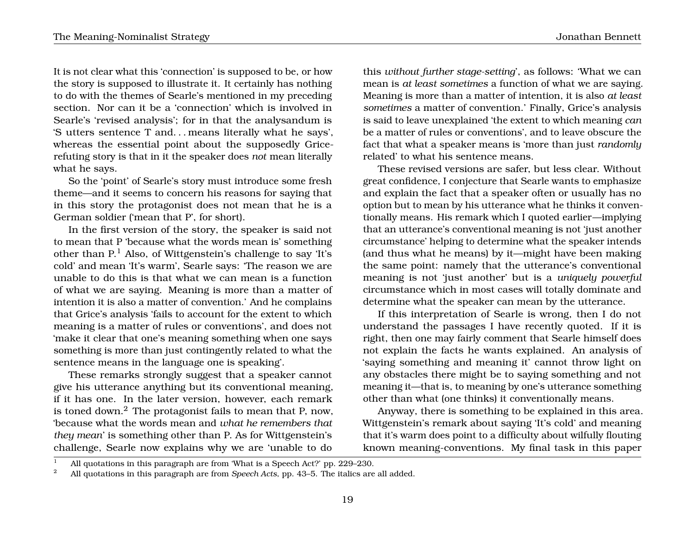It is not clear what this 'connection' is supposed to be, or how the story is supposed to illustrate it. It certainly has nothing to do with the themes of Searle's mentioned in my preceding section. Nor can it be a 'connection' which is involved in Searle's 'revised analysis'; for in that the analysandum is 'S utters sentence T and. . . means literally what he says', whereas the essential point about the supposedly Gricerefuting story is that in it the speaker does *not* mean literally what he says.

So the 'point' of Searle's story must introduce some fresh theme—and it seems to concern his reasons for saying that in this story the protagonist does not mean that he is a German soldier ('mean that P', for short).

In the first version of the story, the speaker is said not to mean that P 'because what the words mean is' something other than  $P<sup>1</sup>$ . Also, of Wittgenstein's challenge to say 'It's cold' and mean 'It's warm', Searle says: 'The reason we are unable to do this is that what we can mean is a function of what we are saying. Meaning is more than a matter of intention it is also a matter of convention.' And he complains that Grice's analysis 'fails to account for the extent to which meaning is a matter of rules or conventions', and does not 'make it clear that one's meaning something when one says something is more than just contingently related to what the sentence means in the language one is speaking'.

These remarks strongly suggest that a speaker cannot give his utterance anything but its conventional meaning, if it has one. In the later version, however, each remark is toned down. $<sup>2</sup>$  The protagonist fails to mean that P, now,</sup> 'because what the words mean and *what he remembers that they mean*' is something other than P. As for Wittgenstein's challenge, Searle now explains why we are 'unable to do

this *without further stage-setting*', as follows: 'What we can mean is *at least sometimes* a function of what we are saying. Meaning is more than a matter of intention, it is also *at least sometimes* a matter of convention.' Finally, Grice's analysis is said to leave unexplained 'the extent to which meaning *can* be a matter of rules or conventions', and to leave obscure the fact that what a speaker means is 'more than just *randomly* related' to what his sentence means.

These revised versions are safer, but less clear. Without great confidence, I conjecture that Searle wants to emphasize and explain the fact that a speaker often or usually has no option but to mean by his utterance what he thinks it conventionally means. His remark which I quoted earlier—implying that an utterance's conventional meaning is not 'just another circumstance' helping to determine what the speaker intends (and thus what he means) by it—might have been making the same point: namely that the utterance's conventional meaning is not 'just another' but is a *uniquely powerful* circumstance which in most cases will totally dominate and determine what the speaker can mean by the utterance.

If this interpretation of Searle is wrong, then I do not understand the passages I have recently quoted. If it is right, then one may fairly comment that Searle himself does not explain the facts he wants explained. An analysis of 'saying something and meaning it' cannot throw light on any obstacles there might be to saying something and not meaning it—that is, to meaning by one's utterance something other than what (one thinks) it conventionally means.

Anyway, there is something to be explained in this area. Wittgenstein's remark about saying 'It's cold' and meaning that it's warm does point to a difficulty about wilfully flouting known meaning-conventions. My final task in this paper

19

<sup>&</sup>lt;sup>1</sup> All quotations in this paragraph are from 'What is a Speech Act?' pp. 229–230.

<sup>2</sup> All quotations in this paragraph are from *Speech Acts*, pp. 43–5. The italics are all added.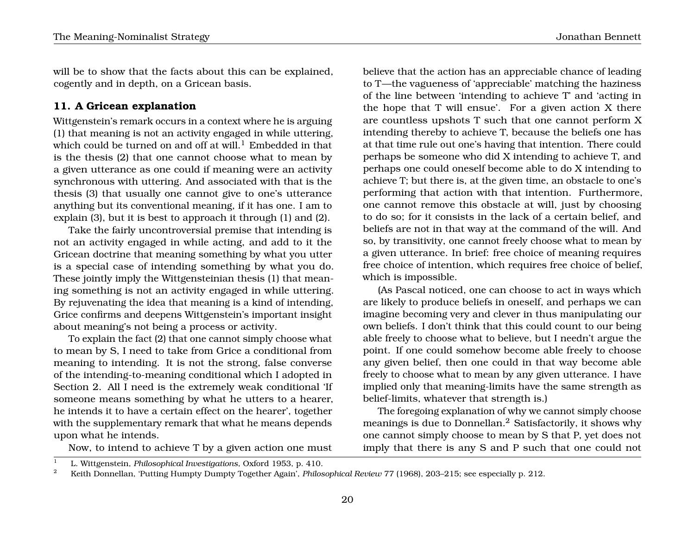will be to show that the facts about this can be explained, cogently and in depth, on a Gricean basis.

## **11. A Gricean explanation**

Wittgenstein's remark occurs in a context where he is arguing (1) that meaning is not an activity engaged in while uttering, which could be turned on and off at will.<sup>1</sup> Embedded in that is the thesis (2) that one cannot choose what to mean by a given utterance as one could if meaning were an activity synchronous with uttering. And associated with that is the thesis (3) that usually one cannot give to one's utterance anything but its conventional meaning, if it has one. I am to explain (3), but it is best to approach it through (1) and (2).

Take the fairly uncontroversial premise that intending is not an activity engaged in while acting, and add to it the Gricean doctrine that meaning something by what you utter is a special case of intending something by what you do. These jointly imply the Wittgensteinian thesis (1) that meaning something is not an activity engaged in while uttering. By rejuvenating the idea that meaning is a kind of intending, Grice confirms and deepens Wittgenstein's important insight about meaning's not being a process or activity.

To explain the fact (2) that one cannot simply choose what to mean by S, I need to take from Grice a conditional from meaning to intending. It is not the strong, false converse of the intending-to-meaning conditional which I adopted in Section 2. All I need is the extremely weak conditional 'If someone means something by what he utters to a hearer, he intends it to have a certain effect on the hearer', together with the supplementary remark that what he means depends upon what he intends.

Now, to intend to achieve T by a given action one must

believe that the action has an appreciable chance of leading to T—the vagueness of 'appreciable' matching the haziness of the line between 'intending to achieve T' and 'acting in the hope that T will ensue'. For a given action X there are countless upshots T such that one cannot perform X intending thereby to achieve T, because the beliefs one has at that time rule out one's having that intention. There could perhaps be someone who did X intending to achieve T, and perhaps one could oneself become able to do X intending to achieve T; but there is, at the given time, an obstacle to one's performing that action with that intention. Furthermore, one cannot remove this obstacle at will, just by choosing to do so; for it consists in the lack of a certain belief, and beliefs are not in that way at the command of the will. And so, by transitivity, one cannot freely choose what to mean by a given utterance. In brief: free choice of meaning requires free choice of intention, which requires free choice of belief, which is impossible.

(As Pascal noticed, one can choose to act in ways which are likely to produce beliefs in oneself, and perhaps we can imagine becoming very and clever in thus manipulating our own beliefs. I don't think that this could count to our being able freely to choose what to believe, but I needn't argue the point. If one could somehow become able freely to choose any given belief, then one could in that way become able freely to choose what to mean by any given utterance. I have implied only that meaning-limits have the same strength as belief-limits, whatever that strength is.)

The foregoing explanation of why we cannot simply choose meanings is due to Donnellan.<sup>2</sup> Satisfactorily, it shows why one cannot simply choose to mean by S that P, yet does not imply that there is any S and P such that one could not

<sup>1</sup> L. Wittgenstein, *Philosophical Investigations*, Oxford 1953, p. 410.

<sup>2</sup> Keith Donnellan, 'Putting Humpty Dumpty Together Again', *Philosophical Review* 77 (1968), 203–215; see especially p. 212.